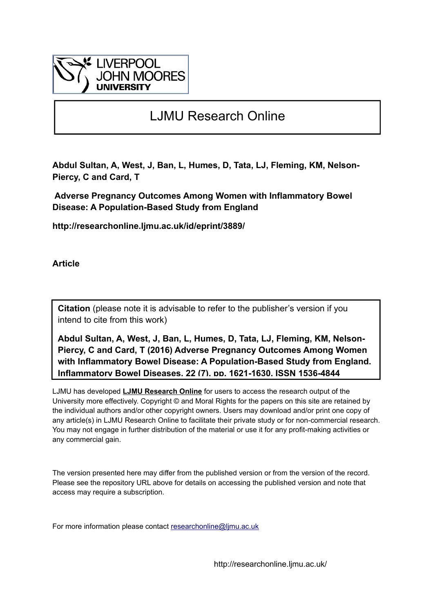

# LJMU Research Online

**Abdul Sultan, A, West, J, Ban, L, Humes, D, Tata, LJ, Fleming, KM, Nelson-Piercy, C and Card, T**

 **Adverse Pregnancy Outcomes Among Women with Inflammatory Bowel Disease: A Population-Based Study from England**

**http://researchonline.ljmu.ac.uk/id/eprint/3889/**

**Article**

**Citation** (please note it is advisable to refer to the publisher's version if you intend to cite from this work)

**Abdul Sultan, A, West, J, Ban, L, Humes, D, Tata, LJ, Fleming, KM, Nelson-Piercy, C and Card, T (2016) Adverse Pregnancy Outcomes Among Women with Inflammatory Bowel Disease: A Population-Based Study from England. Inflammatory Bowel Diseases, 22 (7). pp. 1621-1630. ISSN 1536-4844** 

LJMU has developed **[LJMU Research Online](http://researchonline.ljmu.ac.uk/)** for users to access the research output of the University more effectively. Copyright © and Moral Rights for the papers on this site are retained by the individual authors and/or other copyright owners. Users may download and/or print one copy of any article(s) in LJMU Research Online to facilitate their private study or for non-commercial research. You may not engage in further distribution of the material or use it for any profit-making activities or any commercial gain.

The version presented here may differ from the published version or from the version of the record. Please see the repository URL above for details on accessing the published version and note that access may require a subscription.

For more information please contact researchonline@limu.ac.uk

http://researchonline.ljmu.ac.uk/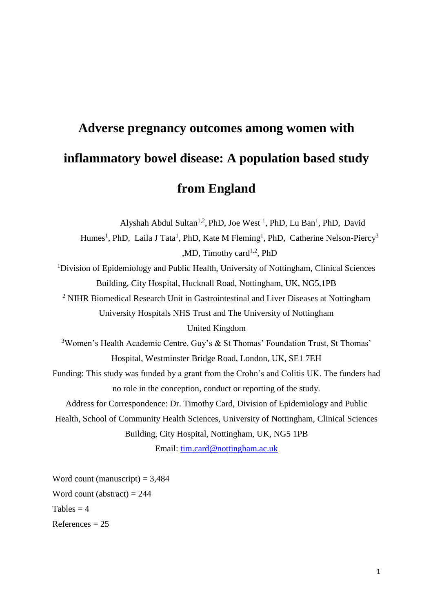# **Adverse pregnancy outcomes among women with inflammatory bowel disease: A population based study from England**

Alyshah Abdul Sultan<sup>1,2</sup>, PhD, Joe West<sup>1</sup>, PhD, Lu Ban<sup>1</sup>, PhD, David Humes<sup>1</sup>, PhD, Laila J Tata<sup>1</sup>, PhD, Kate M Fleming<sup>1</sup>, PhD, Catherine Nelson-Piercy<sup>3</sup> , MD, Timothy card<sup>1,2</sup>, PhD <sup>1</sup>Division of Epidemiology and Public Health, University of Nottingham, Clinical Sciences Building, City Hospital, Hucknall Road, Nottingham, UK, NG5,1PB <sup>2</sup> NIHR Biomedical Research Unit in Gastrointestinal and Liver Diseases at Nottingham University Hospitals NHS Trust and The University of Nottingham United Kingdom <sup>3</sup>Women's Health Academic Centre, Guy's & St Thomas' Foundation Trust, St Thomas' Hospital, Westminster Bridge Road, London, UK, SE1 7EH Funding: This study was funded by a grant from the Crohn's and Colitis UK. The funders had no role in the conception, conduct or reporting of the study. Address for Correspondence: Dr. Timothy Card, Division of Epidemiology and Public Health, School of Community Health Sciences, University of Nottingham, Clinical Sciences Building, City Hospital, Nottingham, UK, NG5 1PB Email: [tim.card@nottingham.ac.uk](mailto:tim.card@nottingham.ac.uk)

Word count (manuscript)  $= 3,484$ Word count (abstract)  $= 244$ Tables  $= 4$  $References = 25$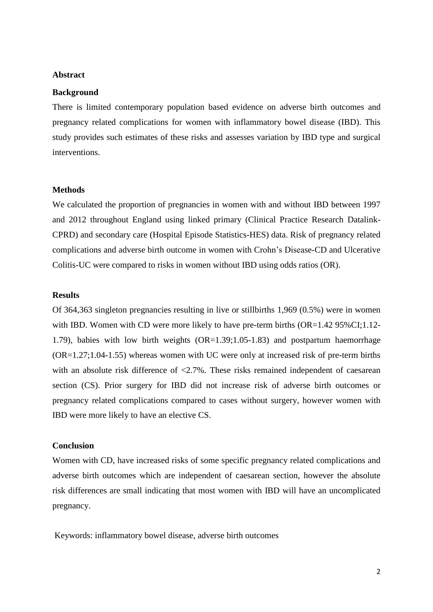#### **Abstract**

#### **Background**

There is limited contemporary population based evidence on adverse birth outcomes and pregnancy related complications for women with inflammatory bowel disease (IBD). This study provides such estimates of these risks and assesses variation by IBD type and surgical interventions.

#### **Methods**

We calculated the proportion of pregnancies in women with and without IBD between 1997 and 2012 throughout England using linked primary (Clinical Practice Research Datalink-CPRD) and secondary care (Hospital Episode Statistics-HES) data. Risk of pregnancy related complications and adverse birth outcome in women with Crohn's Disease-CD and Ulcerative Colitis-UC were compared to risks in women without IBD using odds ratios (OR).

#### **Results**

Of 364,363 singleton pregnancies resulting in live or stillbirths 1,969 (0.5%) were in women with IBD. Women with CD were more likely to have pre-term births (OR=1.42 95%CI;1.12-1.79), babies with low birth weights (OR=1.39;1.05-1.83) and postpartum haemorrhage (OR=1.27;1.04-1.55) whereas women with UC were only at increased risk of pre-term births with an absolute risk difference of  $\langle 2.7\% \rangle$ . These risks remained independent of caesarean section (CS). Prior surgery for IBD did not increase risk of adverse birth outcomes or pregnancy related complications compared to cases without surgery, however women with IBD were more likely to have an elective CS.

#### **Conclusion**

Women with CD, have increased risks of some specific pregnancy related complications and adverse birth outcomes which are independent of caesarean section, however the absolute risk differences are small indicating that most women with IBD will have an uncomplicated pregnancy.

Keywords: inflammatory bowel disease, adverse birth outcomes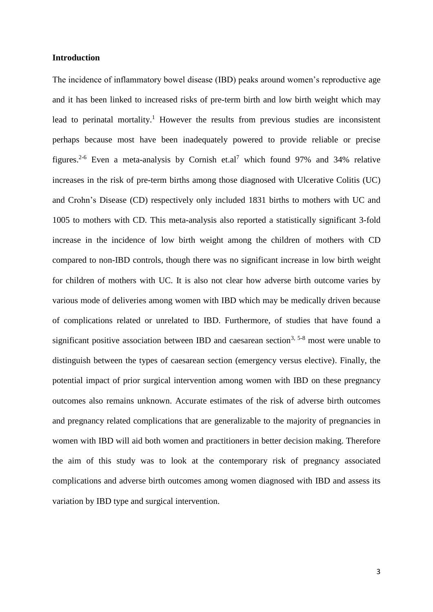#### **Introduction**

The incidence of inflammatory bowel disease (IBD) peaks around women's reproductive age and it has been linked to increased risks of pre-term birth and low birth weight which may lead to perinatal mortality.<sup>[1](#page-22-0)</sup> However the results from previous studies are inconsistent perhaps because most have been inadequately powered to provide reliable or precise figures.<sup>[2-6](#page-22-1)</sup> Even a meta-analysis by Cornish et.al<sup>[7](#page-22-2)</sup> which found 97% and 34% relative increases in the risk of pre-term births among those diagnosed with Ulcerative Colitis (UC) and Crohn's Disease (CD) respectively only included 1831 births to mothers with UC and 1005 to mothers with CD. This meta-analysis also reported a statistically significant 3-fold increase in the incidence of low birth weight among the children of mothers with CD compared to non-IBD controls, though there was no significant increase in low birth weight for children of mothers with UC. It is also not clear how adverse birth outcome varies by various mode of deliveries among women with IBD which may be medically driven because of complications related or unrelated to IBD. Furthermore, of studies that have found a significant positive association between IBD and caesarean section<sup>[3,](#page-22-3) [5-8](#page-22-4)</sup> most were unable to distinguish between the types of caesarean section (emergency versus elective). Finally, the potential impact of prior surgical intervention among women with IBD on these pregnancy outcomes also remains unknown. Accurate estimates of the risk of adverse birth outcomes and pregnancy related complications that are generalizable to the majority of pregnancies in women with IBD will aid both women and practitioners in better decision making. Therefore the aim of this study was to look at the contemporary risk of pregnancy associated complications and adverse birth outcomes among women diagnosed with IBD and assess its variation by IBD type and surgical intervention.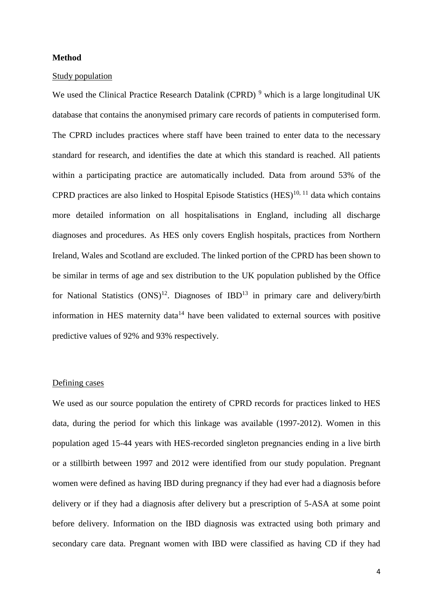#### **Method**

#### Study population

We used the Clinical Practice Research Datalink (CPRD)<sup>[9](#page-22-5)</sup> which is a large longitudinal UK database that contains the anonymised primary care records of patients in computerised form. The CPRD includes practices where staff have been trained to enter data to the necessary standard for research, and identifies the date at which this standard is reached. All patients within a participating practice are automatically included. Data from around 53% of the CPRD practices are also linked to Hospital Episode Statistics  $(HES)^{10, 11}$  $(HES)^{10, 11}$  $(HES)^{10, 11}$  $(HES)^{10, 11}$  data which contains more detailed information on all hospitalisations in England, including all discharge diagnoses and procedures. As HES only covers English hospitals, practices from Northern Ireland, Wales and Scotland are excluded. The linked portion of the CPRD has been shown to be similar in terms of age and sex distribution to the UK population published by the Office for National Statistics  $(ONS)^{12}$  $(ONS)^{12}$  $(ONS)^{12}$ . Diagnoses of  $IBD^{13}$  $IBD^{13}$  $IBD^{13}$  in primary care and delivery/birth information in HES maternity data<sup>[14](#page-22-10)</sup> have been validated to external sources with positive predictive values of 92% and 93% respectively.

#### Defining cases

We used as our source population the entirety of CPRD records for practices linked to HES data, during the period for which this linkage was available (1997-2012). Women in this population aged 15-44 years with HES-recorded singleton pregnancies ending in a live birth or a stillbirth between 1997 and 2012 were identified from our study population. Pregnant women were defined as having IBD during pregnancy if they had ever had a diagnosis before delivery or if they had a diagnosis after delivery but a prescription of 5-ASA at some point before delivery. Information on the IBD diagnosis was extracted using both primary and secondary care data. Pregnant women with IBD were classified as having CD if they had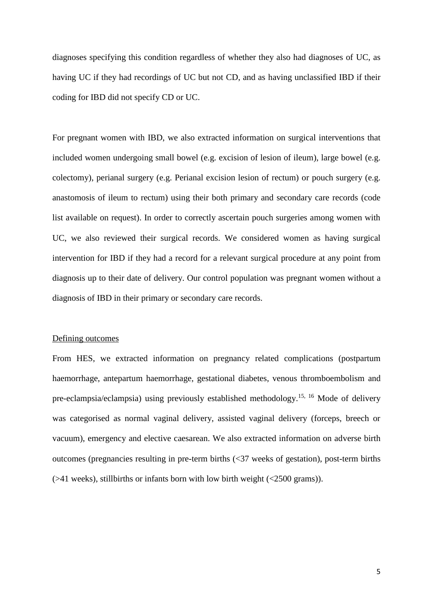diagnoses specifying this condition regardless of whether they also had diagnoses of UC, as having UC if they had recordings of UC but not CD, and as having unclassified IBD if their coding for IBD did not specify CD or UC.

For pregnant women with IBD, we also extracted information on surgical interventions that included women undergoing small bowel (e.g. excision of lesion of ileum), large bowel (e.g. colectomy), perianal surgery (e.g. Perianal excision lesion of rectum) or pouch surgery (e.g. anastomosis of ileum to rectum) using their both primary and secondary care records (code list available on request). In order to correctly ascertain pouch surgeries among women with UC, we also reviewed their surgical records. We considered women as having surgical intervention for IBD if they had a record for a relevant surgical procedure at any point from diagnosis up to their date of delivery. Our control population was pregnant women without a diagnosis of IBD in their primary or secondary care records.

#### Defining outcomes

From HES, we extracted information on pregnancy related complications (postpartum haemorrhage, antepartum haemorrhage, gestational diabetes, venous thromboembolism and pre-eclampsia/eclampsia) using previously established methodology.<sup>[15,](#page-22-11) [16](#page-22-12)</sup> Mode of delivery was categorised as normal vaginal delivery, assisted vaginal delivery (forceps, breech or vacuum), emergency and elective caesarean. We also extracted information on adverse birth outcomes (pregnancies resulting in pre-term births (<37 weeks of gestation), post-term births (>41 weeks), stillbirths or infants born with low birth weight (<2500 grams)).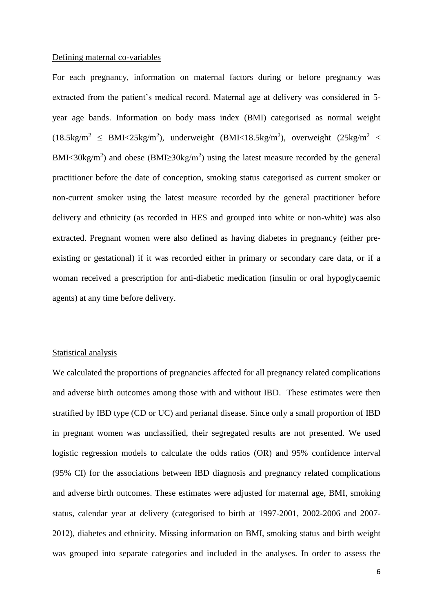#### Defining maternal co-variables

For each pregnancy, information on maternal factors during or before pregnancy was extracted from the patient's medical record. Maternal age at delivery was considered in 5 year age bands. Information on body mass index (BMI) categorised as normal weight  $(18.5 \text{kg/m}^2 \leq \text{BMI} < 25 \text{kg/m}^2)$ , underweight  $(\text{BMI} < 18.5 \text{kg/m}^2)$ , overweight  $(25 \text{kg/m}^2 \leq \text{BMI} < 25 \text{kg/m}^2)$ BMI<30kg/m<sup>2</sup>) and obese (BMI $\geq$ 30kg/m<sup>2</sup>) using the latest measure recorded by the general practitioner before the date of conception, smoking status categorised as current smoker or non-current smoker using the latest measure recorded by the general practitioner before delivery and ethnicity (as recorded in HES and grouped into white or non-white) was also extracted. Pregnant women were also defined as having diabetes in pregnancy (either preexisting or gestational) if it was recorded either in primary or secondary care data, or if a woman received a prescription for anti-diabetic medication (insulin or oral hypoglycaemic agents) at any time before delivery.

#### Statistical analysis

We calculated the proportions of pregnancies affected for all pregnancy related complications and adverse birth outcomes among those with and without IBD. These estimates were then stratified by IBD type (CD or UC) and perianal disease. Since only a small proportion of IBD in pregnant women was unclassified, their segregated results are not presented. We used logistic regression models to calculate the odds ratios (OR) and 95% confidence interval (95% CI) for the associations between IBD diagnosis and pregnancy related complications and adverse birth outcomes. These estimates were adjusted for maternal age, BMI, smoking status, calendar year at delivery (categorised to birth at 1997-2001, 2002-2006 and 2007- 2012), diabetes and ethnicity. Missing information on BMI, smoking status and birth weight was grouped into separate categories and included in the analyses. In order to assess the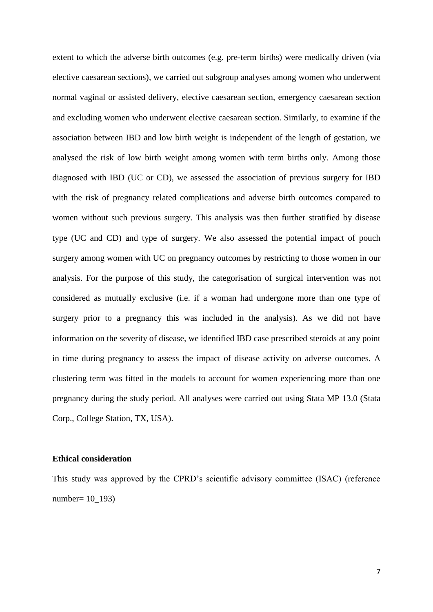extent to which the adverse birth outcomes (e.g. pre-term births) were medically driven (via elective caesarean sections), we carried out subgroup analyses among women who underwent normal vaginal or assisted delivery, elective caesarean section, emergency caesarean section and excluding women who underwent elective caesarean section. Similarly, to examine if the association between IBD and low birth weight is independent of the length of gestation, we analysed the risk of low birth weight among women with term births only. Among those diagnosed with IBD (UC or CD), we assessed the association of previous surgery for IBD with the risk of pregnancy related complications and adverse birth outcomes compared to women without such previous surgery. This analysis was then further stratified by disease type (UC and CD) and type of surgery. We also assessed the potential impact of pouch surgery among women with UC on pregnancy outcomes by restricting to those women in our analysis. For the purpose of this study, the categorisation of surgical intervention was not considered as mutually exclusive (i.e. if a woman had undergone more than one type of surgery prior to a pregnancy this was included in the analysis). As we did not have information on the severity of disease, we identified IBD case prescribed steroids at any point in time during pregnancy to assess the impact of disease activity on adverse outcomes. A clustering term was fitted in the models to account for women experiencing more than one pregnancy during the study period. All analyses were carried out using Stata MP 13.0 (Stata Corp., College Station, TX, USA).

#### **Ethical consideration**

This study was approved by the CPRD's scientific advisory committee (ISAC) (reference number= 10\_193)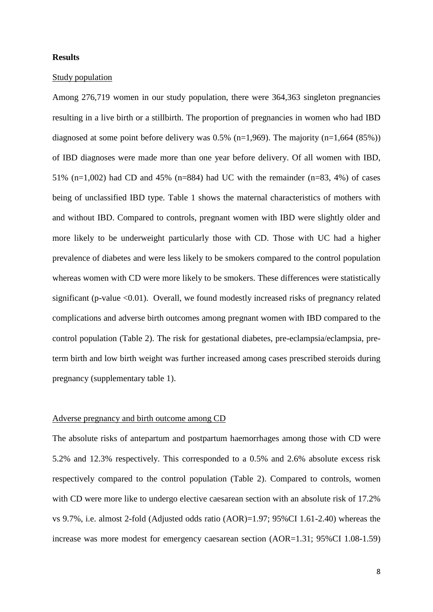#### **Results**

#### Study population

Among 276,719 women in our study population, there were 364,363 singleton pregnancies resulting in a live birth or a stillbirth. The proportion of pregnancies in women who had IBD diagnosed at some point before delivery was  $0.5\%$  (n=1,969). The majority (n=1,664 (85%)) of IBD diagnoses were made more than one year before delivery. Of all women with IBD, 51% (n=1,002) had CD and 45% (n=884) had UC with the remainder (n=83, 4%) of cases being of unclassified IBD type. Table 1 shows the maternal characteristics of mothers with and without IBD. Compared to controls, pregnant women with IBD were slightly older and more likely to be underweight particularly those with CD. Those with UC had a higher prevalence of diabetes and were less likely to be smokers compared to the control population whereas women with CD were more likely to be smokers. These differences were statistically significant (p-value  $\leq 0.01$ ). Overall, we found modestly increased risks of pregnancy related complications and adverse birth outcomes among pregnant women with IBD compared to the control population (Table 2). The risk for gestational diabetes, pre-eclampsia/eclampsia, preterm birth and low birth weight was further increased among cases prescribed steroids during pregnancy (supplementary table 1).

#### Adverse pregnancy and birth outcome among CD

The absolute risks of antepartum and postpartum haemorrhages among those with CD were 5.2% and 12.3% respectively. This corresponded to a 0.5% and 2.6% absolute excess risk respectively compared to the control population (Table 2). Compared to controls, women with CD were more like to undergo elective caesarean section with an absolute risk of 17.2% vs 9.7%, i.e. almost 2-fold (Adjusted odds ratio (AOR)=1.97; 95%CI 1.61-2.40) whereas the increase was more modest for emergency caesarean section (AOR=1.31; 95%CI 1.08-1.59)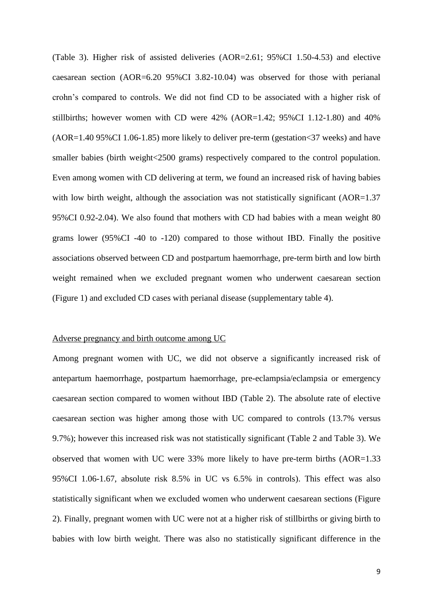(Table 3). Higher risk of assisted deliveries (AOR=2.61; 95%CI 1.50-4.53) and elective caesarean section (AOR=6.20 95%CI 3.82-10.04) was observed for those with perianal crohn's compared to controls. We did not find CD to be associated with a higher risk of stillbirths; however women with CD were  $42\%$  (AOR=1.42;  $95\%$ CI 1.12-1.80) and  $40\%$ (AOR=1.40 95%CI 1.06-1.85) more likely to deliver pre-term (gestation<37 weeks) and have smaller babies (birth weight<2500 grams) respectively compared to the control population. Even among women with CD delivering at term, we found an increased risk of having babies with low birth weight, although the association was not statistically significant (AOR=1.37 95%CI 0.92-2.04). We also found that mothers with CD had babies with a mean weight 80 grams lower (95%CI -40 to -120) compared to those without IBD. Finally the positive associations observed between CD and postpartum haemorrhage, pre-term birth and low birth weight remained when we excluded pregnant women who underwent caesarean section (Figure 1) and excluded CD cases with perianal disease (supplementary table 4).

#### Adverse pregnancy and birth outcome among UC

Among pregnant women with UC, we did not observe a significantly increased risk of antepartum haemorrhage, postpartum haemorrhage, pre-eclampsia/eclampsia or emergency caesarean section compared to women without IBD (Table 2). The absolute rate of elective caesarean section was higher among those with UC compared to controls (13.7% versus 9.7%); however this increased risk was not statistically significant (Table 2 and Table 3). We observed that women with UC were 33% more likely to have pre-term births (AOR=1.33 95%CI 1.06-1.67, absolute risk 8.5% in UC vs 6.5% in controls). This effect was also statistically significant when we excluded women who underwent caesarean sections (Figure 2). Finally, pregnant women with UC were not at a higher risk of stillbirths or giving birth to babies with low birth weight. There was also no statistically significant difference in the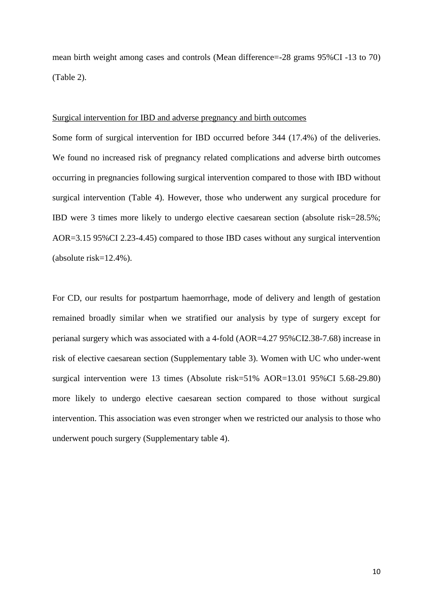mean birth weight among cases and controls (Mean difference=-28 grams 95%CI -13 to 70) (Table 2).

#### Surgical intervention for IBD and adverse pregnancy and birth outcomes

Some form of surgical intervention for IBD occurred before 344 (17.4%) of the deliveries. We found no increased risk of pregnancy related complications and adverse birth outcomes occurring in pregnancies following surgical intervention compared to those with IBD without surgical intervention (Table 4). However, those who underwent any surgical procedure for IBD were 3 times more likely to undergo elective caesarean section (absolute risk=28.5%; AOR=3.15 95%CI 2.23-4.45) compared to those IBD cases without any surgical intervention (absolute risk=12.4%).

For CD, our results for postpartum haemorrhage, mode of delivery and length of gestation remained broadly similar when we stratified our analysis by type of surgery except for perianal surgery which was associated with a 4-fold (AOR=4.27 95%CI2.38-7.68) increase in risk of elective caesarean section (Supplementary table 3). Women with UC who under-went surgical intervention were 13 times (Absolute risk=51% AOR=13.01 95%CI 5.68-29.80) more likely to undergo elective caesarean section compared to those without surgical intervention. This association was even stronger when we restricted our analysis to those who underwent pouch surgery (Supplementary table 4).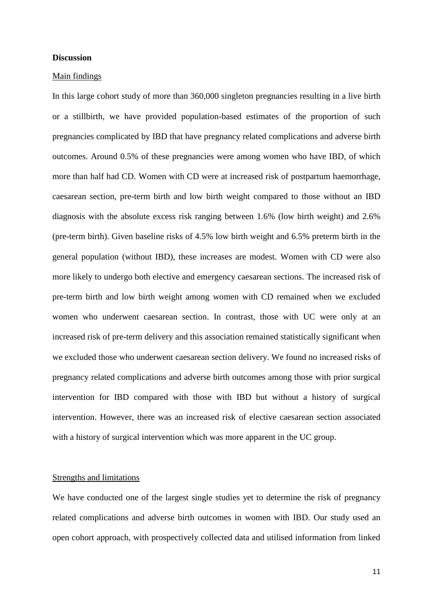#### **Discussion**

#### Main findings

In this large cohort study of more than 360,000 singleton pregnancies resulting in a live birth or a stillbirth, we have provided population-based estimates of the proportion of such pregnancies complicated by IBD that have pregnancy related complications and adverse birth outcomes. Around 0.5% of these pregnancies were among women who have IBD, of which more than half had CD. Women with CD were at increased risk of postpartum haemorrhage, caesarean section, pre-term birth and low birth weight compared to those without an IBD diagnosis with the absolute excess risk ranging between 1.6% (low birth weight) and 2.6% (pre-term birth). Given baseline risks of 4.5% low birth weight and 6.5% preterm birth in the general population (without IBD), these increases are modest. Women with CD were also more likely to undergo both elective and emergency caesarean sections. The increased risk of pre-term birth and low birth weight among women with CD remained when we excluded women who underwent caesarean section. In contrast, those with UC were only at an increased risk of pre-term delivery and this association remained statistically significant when we excluded those who underwent caesarean section delivery. We found no increased risks of pregnancy related complications and adverse birth outcomes among those with prior surgical intervention for IBD compared with those with IBD but without a history of surgical intervention. However, there was an increased risk of elective caesarean section associated with a history of surgical intervention which was more apparent in the UC group.

#### Strengths and limitations

We have conducted one of the largest single studies yet to determine the risk of pregnancy related complications and adverse birth outcomes in women with IBD. Our study used an open cohort approach, with prospectively collected data and utilised information from linked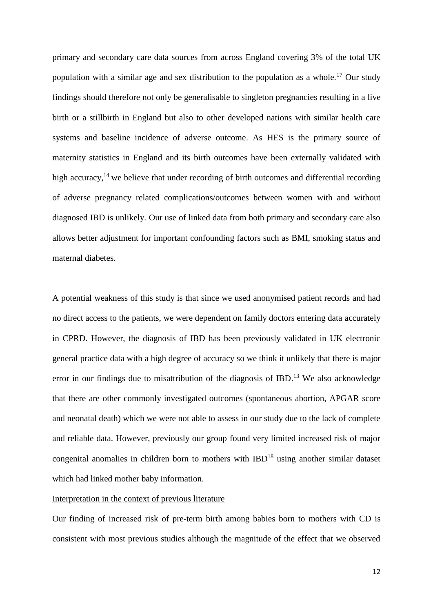primary and secondary care data sources from across England covering 3% of the total UK population with a similar age and sex distribution to the population as a whole.<sup>[17](#page-22-13)</sup> Our study findings should therefore not only be generalisable to singleton pregnancies resulting in a live birth or a stillbirth in England but also to other developed nations with similar health care systems and baseline incidence of adverse outcome. As HES is the primary source of maternity statistics in England and its birth outcomes have been externally validated with high accuracy,<sup>[14](#page-22-10)</sup> we believe that under recording of birth outcomes and differential recording of adverse pregnancy related complications/outcomes between women with and without diagnosed IBD is unlikely. Our use of linked data from both primary and secondary care also allows better adjustment for important confounding factors such as BMI, smoking status and maternal diabetes.

A potential weakness of this study is that since we used anonymised patient records and had no direct access to the patients, we were dependent on family doctors entering data accurately in CPRD. However, the diagnosis of IBD has been previously validated in UK electronic general practice data with a high degree of accuracy so we think it unlikely that there is major error in our findings due to misattribution of the diagnosis of IBD.<sup>[13](#page-22-9)</sup> We also acknowledge that there are other commonly investigated outcomes (spontaneous abortion, APGAR score and neonatal death) which we were not able to assess in our study due to the lack of complete and reliable data. However, previously our group found very limited increased risk of major congenital anomalies in children born to mothers with IBD<sup>[18](#page-22-14)</sup> using another similar dataset which had linked mother baby information.

#### Interpretation in the context of previous literature

Our finding of increased risk of pre-term birth among babies born to mothers with CD is consistent with most previous studies although the magnitude of the effect that we observed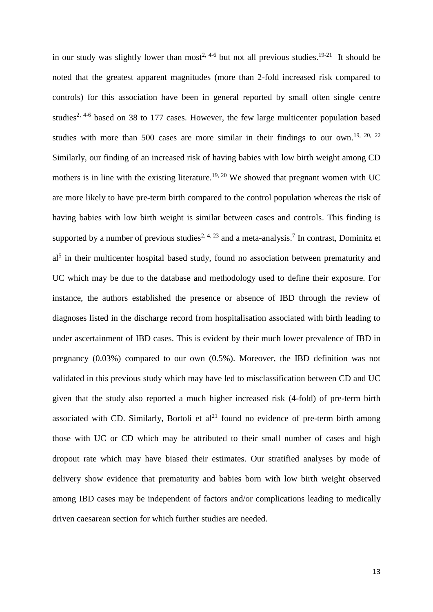in our study was slightly lower than most<sup>[2,](#page-22-1) [4-6](#page-22-15)</sup> but not all previous studies.<sup>[19-21](#page-22-16)</sup> It should be noted that the greatest apparent magnitudes (more than 2-fold increased risk compared to controls) for this association have been in general reported by small often single centre studies<sup>[2,](#page-22-1) [4-6](#page-22-15)</sup> based on 38 to 177 cases. However, the few large multicenter population based studies with more than 500 cases are more similar in their findings to our own.<sup>[19,](#page-22-16) [20,](#page-22-17) [22](#page-22-18)</sup> Similarly, our finding of an increased risk of having babies with low birth weight among CD mothers is in line with the existing literature.<sup>[19,](#page-22-16) [20](#page-22-17)</sup> We showed that pregnant women with UC are more likely to have pre-term birth compared to the control population whereas the risk of having babies with low birth weight is similar between cases and controls. This finding is supported by a number of previous studies<sup>[2,](#page-22-1) [4,](#page-22-15) [23](#page-23-0)</sup> and a meta-analysis.<sup>[7](#page-22-2)</sup> In contrast, Dominitz et al<sup>[5](#page-22-4)</sup> in their multicenter hospital based study, found no association between prematurity and UC which may be due to the database and methodology used to define their exposure. For instance, the authors established the presence or absence of IBD through the review of diagnoses listed in the discharge record from hospitalisation associated with birth leading to under ascertainment of IBD cases. This is evident by their much lower prevalence of IBD in pregnancy (0.03%) compared to our own (0.5%). Moreover, the IBD definition was not validated in this previous study which may have led to misclassification between CD and UC given that the study also reported a much higher increased risk (4-fold) of pre-term birth associated with CD. Similarly, Bortoli et  $al<sup>21</sup>$  $al<sup>21</sup>$  $al<sup>21</sup>$  found no evidence of pre-term birth among those with UC or CD which may be attributed to their small number of cases and high dropout rate which may have biased their estimates. Our stratified analyses by mode of delivery show evidence that prematurity and babies born with low birth weight observed among IBD cases may be independent of factors and/or complications leading to medically driven caesarean section for which further studies are needed.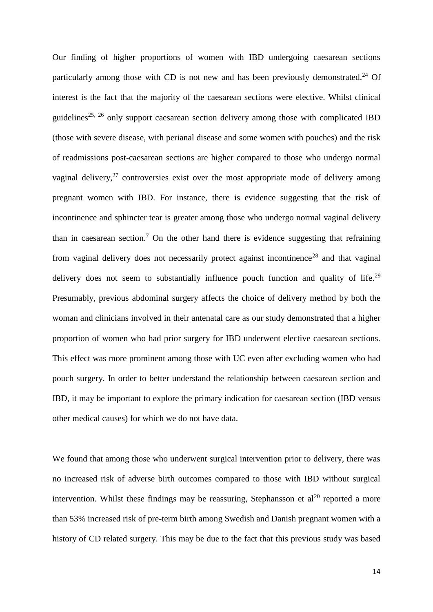Our finding of higher proportions of women with IBD undergoing caesarean sections particularly among those with CD is not new and has been previously demonstrated.<sup>[24](#page-23-1)</sup> Of interest is the fact that the majority of the caesarean sections were elective. Whilst clinical guidelines<sup>[25,](#page-23-2) [26](#page-23-3)</sup> only support caesarean section delivery among those with complicated IBD (those with severe disease, with perianal disease and some women with pouches) and the risk of readmissions post-caesarean sections are higher compared to those who undergo normal vaginal delivery, $27$  controversies exist over the most appropriate mode of delivery among pregnant women with IBD. For instance, there is evidence suggesting that the risk of incontinence and sphincter tear is greater among those who undergo normal vaginal delivery than in caesarean section.<sup>[7](#page-22-2)</sup> On the other hand there is evidence suggesting that refraining from vaginal delivery does not necessarily protect against incontinence<sup>[28](#page-23-5)</sup> and that vaginal delivery does not seem to substantially influence pouch function and quality of life.<sup>[29](#page-23-6)</sup> Presumably, previous abdominal surgery affects the choice of delivery method by both the woman and clinicians involved in their antenatal care as our study demonstrated that a higher proportion of women who had prior surgery for IBD underwent elective caesarean sections. This effect was more prominent among those with UC even after excluding women who had pouch surgery. In order to better understand the relationship between caesarean section and IBD, it may be important to explore the primary indication for caesarean section (IBD versus other medical causes) for which we do not have data.

We found that among those who underwent surgical intervention prior to delivery, there was no increased risk of adverse birth outcomes compared to those with IBD without surgical intervention. Whilst these findings may be reassuring, Stephansson et  $al^{20}$  $al^{20}$  $al^{20}$  reported a more than 53% increased risk of pre-term birth among Swedish and Danish pregnant women with a history of CD related surgery. This may be due to the fact that this previous study was based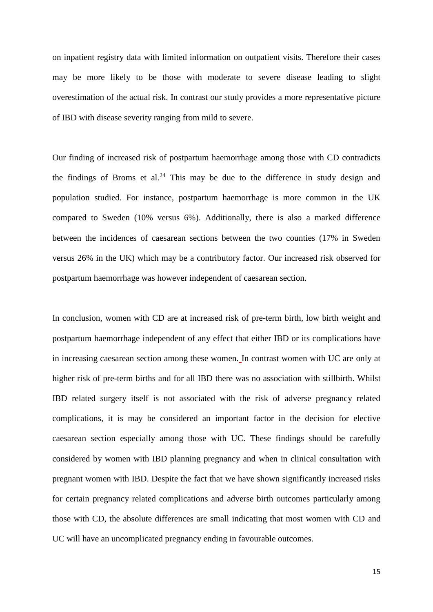on inpatient registry data with limited information on outpatient visits. Therefore their cases may be more likely to be those with moderate to severe disease leading to slight overestimation of the actual risk. In contrast our study provides a more representative picture of IBD with disease severity ranging from mild to severe.

Our finding of increased risk of postpartum haemorrhage among those with CD contradicts the findings of Broms et al.<sup>[24](#page-23-1)</sup> This may be due to the difference in study design and population studied. For instance, postpartum haemorrhage is more common in the UK compared to Sweden (10% versus 6%). Additionally, there is also a marked difference between the incidences of caesarean sections between the two counties (17% in Sweden versus 26% in the UK) which may be a contributory factor. Our increased risk observed for postpartum haemorrhage was however independent of caesarean section.

In conclusion, women with CD are at increased risk of pre-term birth, low birth weight and postpartum haemorrhage independent of any effect that either IBD or its complications have in increasing caesarean section among these women. In contrast women with UC are only at higher risk of pre-term births and for all IBD there was no association with stillbirth. Whilst IBD related surgery itself is not associated with the risk of adverse pregnancy related complications, it is may be considered an important factor in the decision for elective caesarean section especially among those with UC. These findings should be carefully considered by women with IBD planning pregnancy and when in clinical consultation with pregnant women with IBD. Despite the fact that we have shown significantly increased risks for certain pregnancy related complications and adverse birth outcomes particularly among those with CD, the absolute differences are small indicating that most women with CD and UC will have an uncomplicated pregnancy ending in favourable outcomes.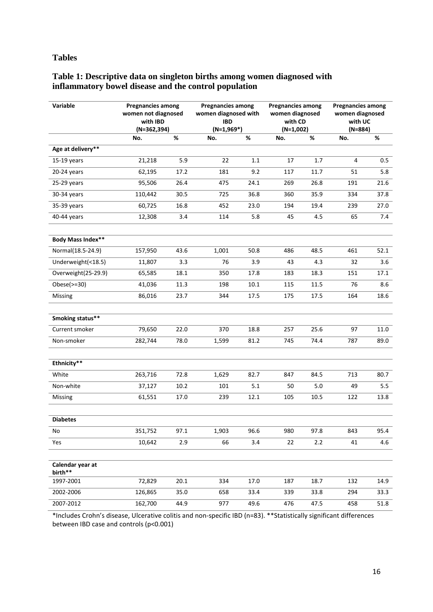## **Tables**

# **Table 1: Descriptive data on singleton births among women diagnosed with inflammatory bowel disease and the control population**

| Variable                    | <b>Pregnancies among</b><br>women not diagnosed<br>with IBD<br>$(N=362,394)$ |      | <b>Pregnancies among</b><br>women diagnosed with<br><b>IBD</b><br>$(N=1,969*)$ |         | <b>Pregnancies among</b><br>women diagnosed<br>with CD<br>$(N=1,002)$ |          | <b>Pregnancies among</b><br>women diagnosed<br>with UC<br>$(N=884)$ |      |
|-----------------------------|------------------------------------------------------------------------------|------|--------------------------------------------------------------------------------|---------|-----------------------------------------------------------------------|----------|---------------------------------------------------------------------|------|
|                             | No.                                                                          | $\%$ | No.                                                                            | %       | No.                                                                   | %        | No.                                                                 | $\%$ |
| Age at delivery**           |                                                                              |      |                                                                                |         |                                                                       |          |                                                                     |      |
| $15-19$ years               | 21,218                                                                       | 5.9  | 22                                                                             | $1.1\,$ | 17                                                                    | 1.7      | 4                                                                   | 0.5  |
| 20-24 years                 | 62,195                                                                       | 17.2 | 181                                                                            | 9.2     | 117                                                                   | 11.7     | 51                                                                  | 5.8  |
| 25-29 years                 | 95,506                                                                       | 26.4 | 475                                                                            | 24.1    | 269                                                                   | 26.8     | 191                                                                 | 21.6 |
| 30-34 years                 | 110,442                                                                      | 30.5 | 725                                                                            | 36.8    | 360                                                                   | 35.9     | 334                                                                 | 37.8 |
| 35-39 years                 | 60,725                                                                       | 16.8 | 452                                                                            | 23.0    | 194                                                                   | 19.4     | 239                                                                 | 27.0 |
| 40-44 years                 | 12,308                                                                       | 3.4  | 114                                                                            | 5.8     | 45                                                                    | 4.5      | 65                                                                  | 7.4  |
| Body Mass Index**           |                                                                              |      |                                                                                |         |                                                                       |          |                                                                     |      |
| Normal(18.5-24.9)           | 157,950                                                                      | 43.6 | 1,001                                                                          | 50.8    | 486                                                                   | 48.5     | 461                                                                 | 52.1 |
| Underweight(<18.5)          | 11,807                                                                       | 3.3  | 76                                                                             | 3.9     | 43                                                                    | 4.3      | 32                                                                  | 3.6  |
| Overweight(25-29.9)         | 65,585                                                                       | 18.1 | 350                                                                            | 17.8    | 183                                                                   | 18.3     | 151                                                                 | 17.1 |
| Obese $(>=30)$              | 41,036                                                                       | 11.3 | 198                                                                            | 10.1    | 115                                                                   | 11.5     | 76                                                                  | 8.6  |
| Missing                     | 86,016                                                                       | 23.7 | 344                                                                            | 17.5    | 175                                                                   | 17.5     | 164                                                                 | 18.6 |
| Smoking status**            |                                                                              |      |                                                                                |         |                                                                       |          |                                                                     |      |
| Current smoker              | 79,650                                                                       | 22.0 | 370                                                                            | 18.8    | 257                                                                   | 25.6     | 97                                                                  | 11.0 |
| Non-smoker                  | 282,744                                                                      | 78.0 | 1,599                                                                          | 81.2    | 745                                                                   | 74.4     | 787                                                                 | 89.0 |
| Ethnicity**                 |                                                                              |      |                                                                                |         |                                                                       |          |                                                                     |      |
| White                       | 263,716                                                                      | 72.8 | 1,629                                                                          | 82.7    | 847                                                                   | 84.5     | 713                                                                 | 80.7 |
| Non-white                   | 37,127                                                                       | 10.2 | 101                                                                            | 5.1     | 50                                                                    | 5.0      | 49                                                                  | 5.5  |
| Missing                     | 61,551                                                                       | 17.0 | 239                                                                            | 12.1    | 105                                                                   | $10.5\,$ | 122                                                                 | 13.8 |
| <b>Diabetes</b>             |                                                                              |      |                                                                                |         |                                                                       |          |                                                                     |      |
| No                          | 351,752                                                                      | 97.1 | 1,903                                                                          | 96.6    | 980                                                                   | 97.8     | 843                                                                 | 95.4 |
| Yes                         | 10,642                                                                       | 2.9  | 66                                                                             | 3.4     | 22                                                                    | $2.2\,$  | 41                                                                  | 4.6  |
| Calendar year at<br>birth** |                                                                              |      |                                                                                |         |                                                                       |          |                                                                     |      |
| 1997-2001                   | 72,829                                                                       | 20.1 | 334                                                                            | 17.0    | 187                                                                   | 18.7     | 132                                                                 | 14.9 |
| 2002-2006                   | 126,865                                                                      | 35.0 | 658                                                                            | 33.4    | 339                                                                   | 33.8     | 294                                                                 | 33.3 |
| 2007-2012                   | 162,700                                                                      | 44.9 | 977                                                                            | 49.6    | 476                                                                   | 47.5     | 458                                                                 | 51.8 |

\*Includes Crohn's disease, Ulcerative colitis and non-specific IBD (n=83). \*\*Statistically significant differences between IBD case and controls (p<0.001)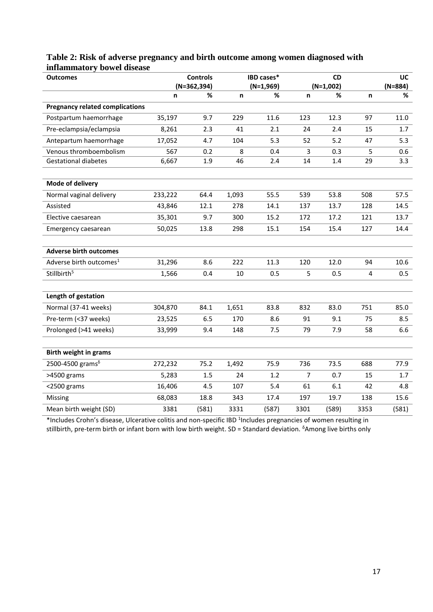| Table 2: Risk of adverse pregnancy and birth outcome among women diagnosed with |  |
|---------------------------------------------------------------------------------|--|
| inflammatory bowel disease                                                      |  |

| <b>Outcomes</b>                        |         | <b>Controls</b><br><b>IBD cases*</b><br>$(N=362,394)$ |       |                  | <b>CD</b>      |                  |                | UC             |
|----------------------------------------|---------|-------------------------------------------------------|-------|------------------|----------------|------------------|----------------|----------------|
|                                        | n       | %                                                     | n     | $(N=1,969)$<br>% | n              | $(N=1,002)$<br>% | n              | $(N=884)$<br>% |
| <b>Pregnancy related complications</b> |         |                                                       |       |                  |                |                  |                |                |
| Postpartum haemorrhage                 | 35,197  | 9.7                                                   | 229   | 11.6             | 123            | 12.3             | 97             | 11.0           |
| Pre-eclampsia/eclampsia                | 8,261   | 2.3                                                   | 41    | 2.1              | 24             | 2.4              | 15             | 1.7            |
| Antepartum haemorrhage                 | 17,052  | 4.7                                                   | 104   | 5.3              | 52             | 5.2              | 47             | 5.3            |
| Venous thromboembolism                 | 567     | 0.2                                                   | 8     | 0.4              | 3              | 0.3              | 5              | 0.6            |
| <b>Gestational diabetes</b>            | 6,667   | 1.9                                                   | 46    | 2.4              | 14             | 1.4              | 29             | 3.3            |
| Mode of delivery                       |         |                                                       |       |                  |                |                  |                |                |
| Normal vaginal delivery                | 233,222 | 64.4                                                  | 1,093 | 55.5             | 539            | 53.8             | 508            | 57.5           |
| Assisted                               | 43,846  | 12.1                                                  | 278   | 14.1             | 137            | 13.7             | 128            | 14.5           |
| Elective caesarean                     | 35,301  | 9.7                                                   | 300   | 15.2             | 172            | 17.2             | 121            | 13.7           |
| Emergency caesarean                    | 50,025  | 13.8                                                  | 298   | 15.1             | 154            | 15.4             | 127            | 14.4           |
| <b>Adverse birth outcomes</b>          |         |                                                       |       |                  |                |                  |                |                |
| Adverse birth outcomes <sup>1</sup>    | 31,296  | 8.6                                                   | 222   | 11.3             | 120            | 12.0             | 94             | 10.6           |
| Stillbirth <sup>5</sup>                | 1,566   | 0.4                                                   | 10    | 0.5              | 5              | 0.5              | $\overline{4}$ | 0.5            |
| Length of gestation                    |         |                                                       |       |                  |                |                  |                |                |
| Normal (37-41 weeks)                   | 304,870 | 84.1                                                  | 1,651 | 83.8             | 832            | 83.0             | 751            | 85.0           |
| Pre-term (<37 weeks)                   | 23,525  | 6.5                                                   | 170   | 8.6              | 91             | 9.1              | 75             | 8.5            |
| Prolonged (>41 weeks)                  | 33,999  | 9.4                                                   | 148   | 7.5              | 79             | 7.9              | 58             | 6.6            |
| <b>Birth weight in grams</b>           |         |                                                       |       |                  |                |                  |                |                |
| 2500-4500 grams $\delta$               | 272,232 | 75.2                                                  | 1,492 | 75.9             | 736            | 73.5             | 688            | 77.9           |
| >4500 grams                            | 5,283   | 1.5                                                   | 24    | 1.2              | $\overline{7}$ | 0.7              | 15             | 1.7            |
| $<$ 2500 grams                         | 16,406  | 4.5                                                   | 107   | 5.4              | 61             | 6.1              | 42             | 4.8            |
| Missing                                | 68,083  | 18.8                                                  | 343   | 17.4             | 197            | 19.7             | 138            | 15.6           |
| Mean birth weight (SD)                 | 3381    | (581)                                                 | 3331  | (587)            | 3301           | (589)            | 3353           | (581)          |

\*Includes Crohn's disease, Ulcerative colitis and non-specific IBD <sup>1</sup>Includes pregnancies of women resulting in stillbirth, pre-term birth or infant born with low birth weight. SD = Standard deviation. <sup>δ</sup>Among live births only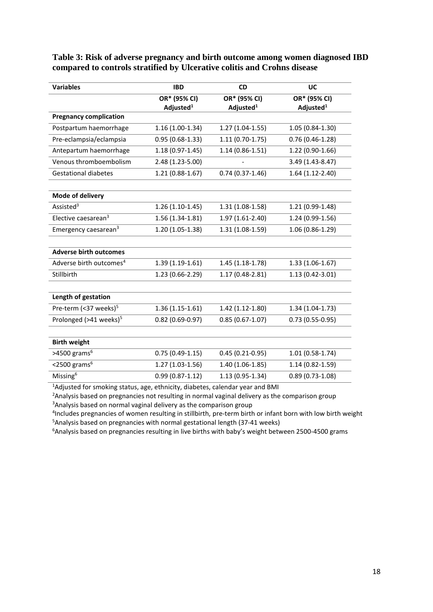**Table 3: Risk of adverse pregnancy and birth outcome among women diagnosed IBD compared to controls stratified by Ulcerative colitis and Crohns disease** 

| <b>Variables</b>                    | <b>IBD</b>            | <b>CD</b>             | UC                    |  |
|-------------------------------------|-----------------------|-----------------------|-----------------------|--|
|                                     | OR* (95% CI)          | OR* (95% CI)          |                       |  |
|                                     | Adjusted <sup>1</sup> | Adjusted <sup>1</sup> | Adjusted <sup>1</sup> |  |
| <b>Pregnancy complication</b>       |                       |                       |                       |  |
| Postpartum haemorrhage              | 1.16 (1.00-1.34)      | $1.27(1.04-1.55)$     | $1.05(0.84-1.30)$     |  |
| Pre-eclampsia/eclampsia             | $0.95(0.68-1.33)$     | $1.11(0.70-1.75)$     | $0.76(0.46-1.28)$     |  |
| Antepartum haemorrhage              | $1.18(0.97-1.45)$     | $1.14(0.86 - 1.51)$   | 1.22 (0.90-1.66)      |  |
| Venous thromboembolism              | 2.48 (1.23-5.00)      |                       | 3.49 (1.43-8.47)      |  |
| <b>Gestational diabetes</b>         | $1.21(0.88-1.67)$     | $0.74(0.37-1.46)$     | $1.64(1.12-2.40)$     |  |
|                                     |                       |                       |                       |  |
| Mode of delivery                    |                       |                       |                       |  |
| Assisted <sup>3</sup>               | $1.26(1.10-1.45)$     | $1.31(1.08-1.58)$     | 1.21 (0.99-1.48)      |  |
| Elective caesarean <sup>3</sup>     | 1.56 (1.34-1.81)      | $1.97(1.61-2.40)$     | 1.24 (0.99-1.56)      |  |
| Emergency caesarean <sup>3</sup>    | 1.20 (1.05-1.38)      | 1.31 (1.08-1.59)      | 1.06 (0.86-1.29)      |  |
|                                     |                       |                       |                       |  |
| <b>Adverse birth outcomes</b>       |                       |                       |                       |  |
| Adverse birth outcomes <sup>4</sup> | 1.39 (1.19-1.61)      | $1.45(1.18-1.78)$     | $1.33(1.06-1.67)$     |  |
| Stillbirth                          | 1.23 (0.66-2.29)      | 1.17 (0.48-2.81)      | 1.13 (0.42-3.01)      |  |
|                                     |                       |                       |                       |  |
| Length of gestation                 |                       |                       |                       |  |
| Pre-term (<37 weeks) <sup>5</sup>   | $1.36(1.15-1.61)$     | $1.42(1.12-1.80)$     | $1.34(1.04-1.73)$     |  |
| Prolonged (>41 weeks) <sup>5</sup>  | $0.82(0.69-0.97)$     | $0.85(0.67 - 1.07)$   | $0.73(0.55-0.95)$     |  |
|                                     |                       |                       |                       |  |
| <b>Birth weight</b>                 |                       |                       |                       |  |
| $>4500$ grams <sup>6</sup>          | $0.75(0.49-1.15)$     | $0.45(0.21-0.95)$     | $1.01(0.58-1.74)$     |  |
| $<$ 2500 grams $6$                  | $1.27(1.03-1.56)$     | $1.40(1.06-1.85)$     | 1.14 (0.82-1.59)      |  |
| Missing <sup>6</sup>                | $0.99(0.87 - 1.12)$   | 1.13 (0.95-1.34)      | $0.89(0.73-1.08)$     |  |

1Adjusted for smoking status, age, ethnicity, diabetes, calendar year and BMI

<sup>2</sup>Analysis based on pregnancies not resulting in normal vaginal delivery as the comparison group

<sup>3</sup> Analysis based on normal vaginal delivery as the comparison group

4 Includes pregnancies of women resulting in stillbirth, pre-term birth or infant born with low birth weight <sup>5</sup>Analysis based on pregnancies with normal gestational length (37-41 weeks)

<sup>6</sup> Analysis based on pregnancies resulting in live births with baby's weight between 2500-4500 grams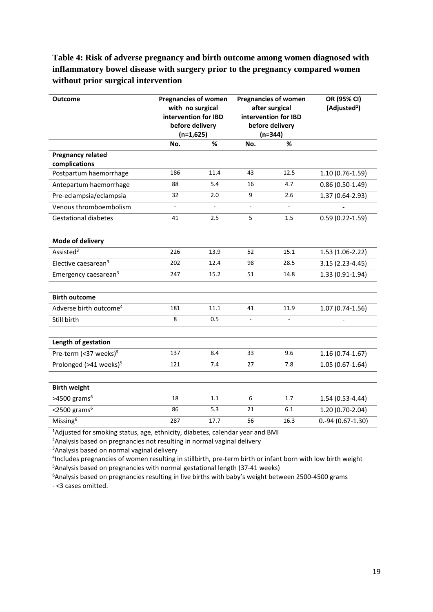# **Table 4: Risk of adverse pregnancy and birth outcome among women diagnosed with inflammatory bowel disease with surgery prior to the pregnancy compared women without prior surgical intervention**

| <b>Outcome</b>                            | <b>Pregnancies of women</b><br>with no surgical<br>intervention for IBD<br>before delivery<br>$(n=1,625)$ |        | <b>Pregnancies of women</b><br>after surgical<br>intervention for IBD<br>before delivery<br>$(n=344)$ |      | OR (95% CI)<br>(Adjusted <sup>1</sup> ) |
|-------------------------------------------|-----------------------------------------------------------------------------------------------------------|--------|-------------------------------------------------------------------------------------------------------|------|-----------------------------------------|
|                                           | No.                                                                                                       | %      | No.                                                                                                   | %    |                                         |
| <b>Pregnancy related</b><br>complications |                                                                                                           |        |                                                                                                       |      |                                         |
| Postpartum haemorrhage                    | 186                                                                                                       | 11.4   | 43                                                                                                    | 12.5 | $1.10(0.76-1.59)$                       |
| Antepartum haemorrhage                    | 88                                                                                                        | 5.4    | 16                                                                                                    | 4.7  | $0.86(0.50-1.49)$                       |
| Pre-eclampsia/eclampsia                   | 32                                                                                                        | 2.0    | 9                                                                                                     | 2.6  | 1.37 (0.64-2.93)                        |
| Venous thromboembolism                    | $\overline{\phantom{a}}$                                                                                  | $\sim$ | ÷.                                                                                                    |      |                                         |
| <b>Gestational diabetes</b>               | 41                                                                                                        | 2.5    | 5                                                                                                     | 1.5  | $0.59(0.22 - 1.59)$                     |
|                                           |                                                                                                           |        |                                                                                                       |      |                                         |
| Mode of delivery                          |                                                                                                           |        |                                                                                                       |      |                                         |
| Assisted <sup>3</sup>                     | 226                                                                                                       | 13.9   | 52                                                                                                    | 15.1 | $1.53(1.06-2.22)$                       |
| Elective caesarean <sup>3</sup>           | 202                                                                                                       | 12.4   | 98                                                                                                    | 28.5 | 3.15 (2.23-4.45)                        |
| Emergency caesarean <sup>3</sup>          | 247                                                                                                       | 15.2   | 51                                                                                                    | 14.8 | $1.33(0.91-1.94)$                       |
|                                           |                                                                                                           |        |                                                                                                       |      |                                         |
| <b>Birth outcome</b>                      |                                                                                                           |        |                                                                                                       |      |                                         |
| Adverse birth outcome <sup>4</sup>        | 181                                                                                                       | 11.1   | 41                                                                                                    | 11.9 | $1.07(0.74-1.56)$                       |
| Still birth                               | 8                                                                                                         | 0.5    | L.                                                                                                    |      |                                         |
|                                           |                                                                                                           |        |                                                                                                       |      |                                         |
| Length of gestation                       |                                                                                                           |        |                                                                                                       |      |                                         |
| Pre-term (<37 weeks) <sup>5</sup>         | 137                                                                                                       | 8.4    | 33                                                                                                    | 9.6  | $1.16(0.74-1.67)$                       |
| Prolonged (>41 weeks) <sup>5</sup>        | 121                                                                                                       | 7.4    | 27                                                                                                    | 7.8  | $1.05(0.67-1.64)$                       |
|                                           |                                                                                                           |        |                                                                                                       |      |                                         |
| <b>Birth weight</b>                       |                                                                                                           |        |                                                                                                       |      |                                         |
| $>4500$ grams <sup>6</sup>                | 18                                                                                                        | 1.1    | 6                                                                                                     | 1.7  | 1.54 (0.53-4.44)                        |
| $<$ 2500 grams <sup>6</sup>               | 86                                                                                                        | 5.3    | 21                                                                                                    | 6.1  | 1.20 (0.70-2.04)                        |
| Missing <sup>6</sup>                      | 287                                                                                                       | 17.7   | 56                                                                                                    | 16.3 | $0.-94(0.67-1.30)$                      |
|                                           |                                                                                                           |        |                                                                                                       |      |                                         |

<sup>1</sup>Adjusted for smoking status, age, ethnicity, diabetes, calendar year and BMI

<sup>2</sup>Analysis based on pregnancies not resulting in normal vaginal delivery

<sup>3</sup>Analysis based on normal vaginal delivery

4 Includes pregnancies of women resulting in stillbirth, pre-term birth or infant born with low birth weight <sup>5</sup>Analysis based on pregnancies with normal gestational length (37-41 weeks)

<sup>6</sup> Analysis based on pregnancies resulting in live births with baby's weight between 2500-4500 grams - <3 cases omitted.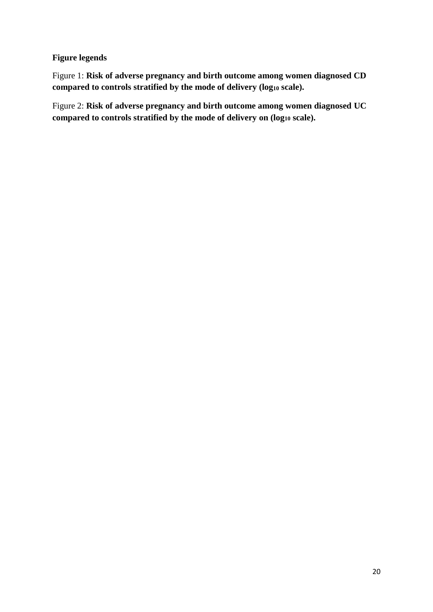# **Figure legends**

Figure 1: **Risk of adverse pregnancy and birth outcome among women diagnosed CD compared to controls stratified by the mode of delivery (log<sup>10</sup> scale).**

Figure 2: **Risk of adverse pregnancy and birth outcome among women diagnosed UC compared to controls stratified by the mode of delivery on (log<sup>10</sup> scale).**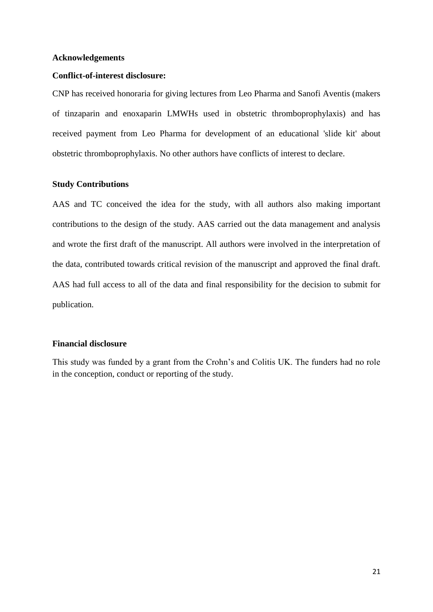#### **Acknowledgements**

#### **Conflict-of-interest disclosure:**

CNP has received honoraria for giving lectures from Leo Pharma and Sanofi Aventis (makers of tinzaparin and enoxaparin LMWHs used in obstetric thromboprophylaxis) and has received payment from Leo Pharma for development of an educational 'slide kit' about obstetric thromboprophylaxis. No other authors have conflicts of interest to declare.

#### **Study Contributions**

AAS and TC conceived the idea for the study, with all authors also making important contributions to the design of the study. AAS carried out the data management and analysis and wrote the first draft of the manuscript. All authors were involved in the interpretation of the data, contributed towards critical revision of the manuscript and approved the final draft. AAS had full access to all of the data and final responsibility for the decision to submit for publication.

### **Financial disclosure**

This study was funded by a grant from the Crohn's and Colitis UK. The funders had no role in the conception, conduct or reporting of the study.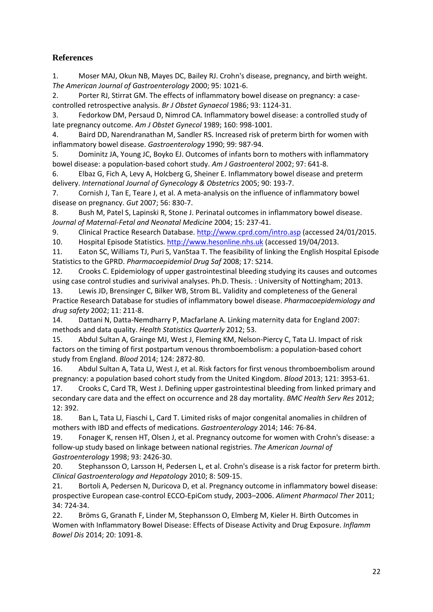# **References**

<span id="page-22-0"></span>1. Moser MAJ, Okun NB, Mayes DC, Bailey RJ. Crohn's disease, pregnancy, and birth weight. *The American Journal of Gastroenterology* 2000; 95: 1021-6.

<span id="page-22-1"></span>2. Porter RJ, Stirrat GM. The effects of inflammatory bowel disease on pregnancy: a casecontrolled retrospective analysis. *Br J Obstet Gynaecol* 1986; 93: 1124-31.

<span id="page-22-3"></span>3. Fedorkow DM, Persaud D, Nimrod CA. Inflammatory bowel disease: a controlled study of late pregnancy outcome. *Am J Obstet Gynecol* 1989; 160: 998-1001.

<span id="page-22-15"></span>4. Baird DD, Narendranathan M, Sandler RS. Increased risk of preterm birth for women with inflammatory bowel disease. *Gastroenterology* 1990; 99: 987-94.

<span id="page-22-4"></span>5. Dominitz JA, Young JC, Boyko EJ. Outcomes of infants born to mothers with inflammatory bowel disease: a population-based cohort study. *Am J Gastroenterol* 2002; 97: 641-8.

6. Elbaz G, Fich A, Levy A, Holcberg G, Sheiner E. Inflammatory bowel disease and preterm delivery. *International Journal of Gynecology & Obstetrics* 2005; 90: 193-7.

<span id="page-22-2"></span>7. Cornish J, Tan E, Teare J, et al. A meta-analysis on the influence of inflammatory bowel disease on pregnancy. *Gut* 2007; 56: 830-7.

8. Bush M, Patel S, Lapinski R, Stone J. Perinatal outcomes in inflammatory bowel disease. *Journal of Maternal-Fetal and Neonatal Medicine* 2004; 15: 237-41.

<span id="page-22-5"></span>9. Clinical Practice Research Database[. http://www.cprd.com/intro.asp](http://www.cprd.com/intro.asp) (accessed 24/01/2015.

<span id="page-22-6"></span>10. Hospital Episode Statistics[. http://www.hesonline.nhs.uk](http://www.hesonline.nhs.uk/) (accessed 19/04/2013.

<span id="page-22-7"></span>11. Eaton SC, Williams TJ, Puri S, VanStaa T. The feasibility of linking the English Hospital Episode Statistics to the GPRD. *Pharmacoepidemiol Drug Saf* 2008; 17: S214.

<span id="page-22-8"></span>12. Crooks C. Epidemiology of upper gastrointestinal bleeding studying its causes and outcomes using case control studies and surivival analyses. Ph.D. Thesis. : University of Nottingham; 2013.

<span id="page-22-9"></span>13. Lewis JD, Brensinger C, Bilker WB, Strom BL. Validity and completeness of the General Practice Research Database for studies of inflammatory bowel disease. *Pharmacoepidemiology and drug safety* 2002; 11: 211-8.

<span id="page-22-10"></span>14. Dattani N, Datta-Nemdharry P, Macfarlane A. Linking maternity data for England 2007: methods and data quality. *Health Statistics Quarterly* 2012; 53.

<span id="page-22-11"></span>15. Abdul Sultan A, Grainge MJ, West J, Fleming KM, Nelson-Piercy C, Tata LJ. Impact of risk factors on the timing of first postpartum venous thromboembolism: a population-based cohort study from England. *Blood* 2014; 124: 2872-80.

<span id="page-22-12"></span>16. Abdul Sultan A, Tata LJ, West J, et al. Risk factors for first venous thromboembolism around pregnancy: a population based cohort study from the United Kingdom. *Blood* 2013; 121: 3953-61.

<span id="page-22-13"></span>17. Crooks C, Card TR, West J. Defining upper gastrointestinal bleeding from linked primary and secondary care data and the effect on occurrence and 28 day mortality. *BMC Health Serv Res* 2012; 12: 392.

<span id="page-22-14"></span>18. Ban L, Tata LJ, Fiaschi L, Card T. Limited risks of major congenital anomalies in children of mothers with IBD and effects of medications. *Gastroenterology* 2014; 146: 76-84.

<span id="page-22-16"></span>19. Fonager K, rensen HT, Olsen J, et al. Pregnancy outcome for women with Crohn's disease: a follow-up study based on linkage between national registries. *The American Journal of Gastroenterology* 1998; 93: 2426-30.

<span id="page-22-17"></span>20. Stephansson O, Larsson H, Pedersen L, et al. Crohn's disease is a risk factor for preterm birth. *Clinical Gastroenterology and Hepatology* 2010; 8: 509-15.

<span id="page-22-19"></span>21. Bortoli A, Pedersen N, Duricova D, et al. Pregnancy outcome in inflammatory bowel disease: prospective European case‐control ECCO‐EpiCom study, 2003–2006. *Aliment Pharmacol Ther* 2011; 34: 724-34.

<span id="page-22-18"></span>22. Bröms G, Granath F, Linder M, Stephansson O, Elmberg M, Kieler H. Birth Outcomes in Women with Inflammatory Bowel Disease: Effects of Disease Activity and Drug Exposure. *Inflamm Bowel Dis* 2014; 20: 1091-8.